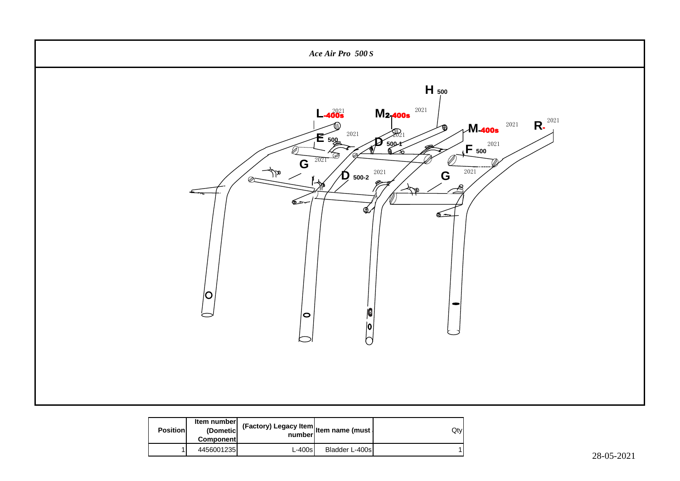

| <b>Positionl</b> | Item number<br>(Dometic<br><b>Component</b> | (Factory) Legacy Item   Item name (must  <br>number |                | Qtyl |
|------------------|---------------------------------------------|-----------------------------------------------------|----------------|------|
|                  | 4456001235                                  | $L-400s$                                            | Bladder L-400s |      |